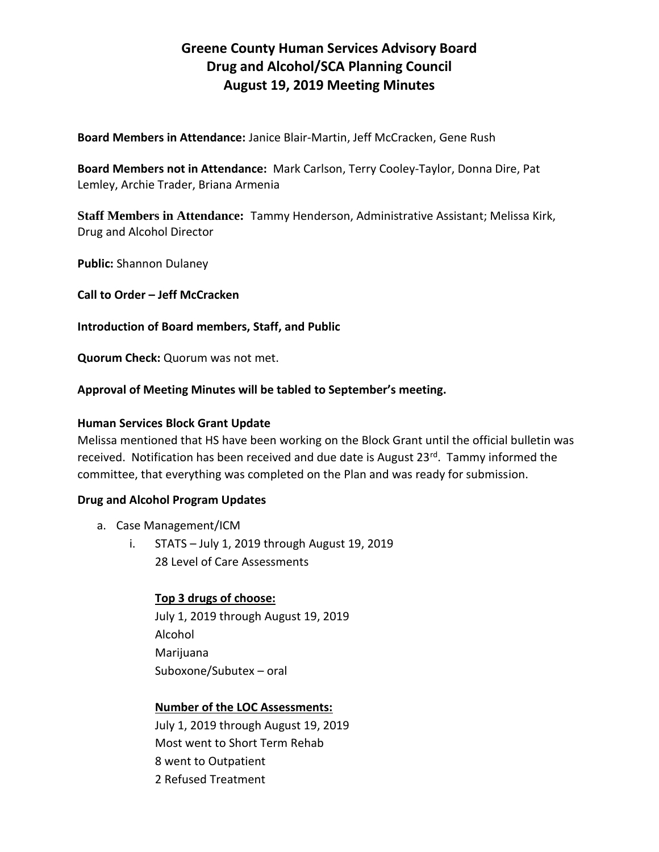# **Greene County Human Services Advisory Board Drug and Alcohol/SCA Planning Council August 19, 2019 Meeting Minutes**

**Board Members in Attendance:** Janice Blair-Martin, Jeff McCracken, Gene Rush

**Board Members not in Attendance:** Mark Carlson, Terry Cooley-Taylor, Donna Dire, Pat Lemley, Archie Trader, Briana Armenia

**Staff Members in Attendance:** Tammy Henderson, Administrative Assistant; Melissa Kirk, Drug and Alcohol Director

**Public:** Shannon Dulaney

**Call to Order – Jeff McCracken**

#### **Introduction of Board members, Staff, and Public**

**Quorum Check:** Quorum was not met.

#### **Approval of Meeting Minutes will be tabled to September's meeting.**

#### **Human Services Block Grant Update**

Melissa mentioned that HS have been working on the Block Grant until the official bulletin was received. Notification has been received and due date is August 23<sup>rd</sup>. Tammy informed the committee, that everything was completed on the Plan and was ready for submission.

## **Drug and Alcohol Program Updates**

- a. Case Management/ICM
	- i. STATS July 1, 2019 through August 19, 2019 28 Level of Care Assessments

## **Top 3 drugs of choose:**

July 1, 2019 through August 19, 2019 Alcohol Marijuana Suboxone/Subutex – oral

## **Number of the LOC Assessments:**

July 1, 2019 through August 19, 2019 Most went to Short Term Rehab 8 went to Outpatient 2 Refused Treatment